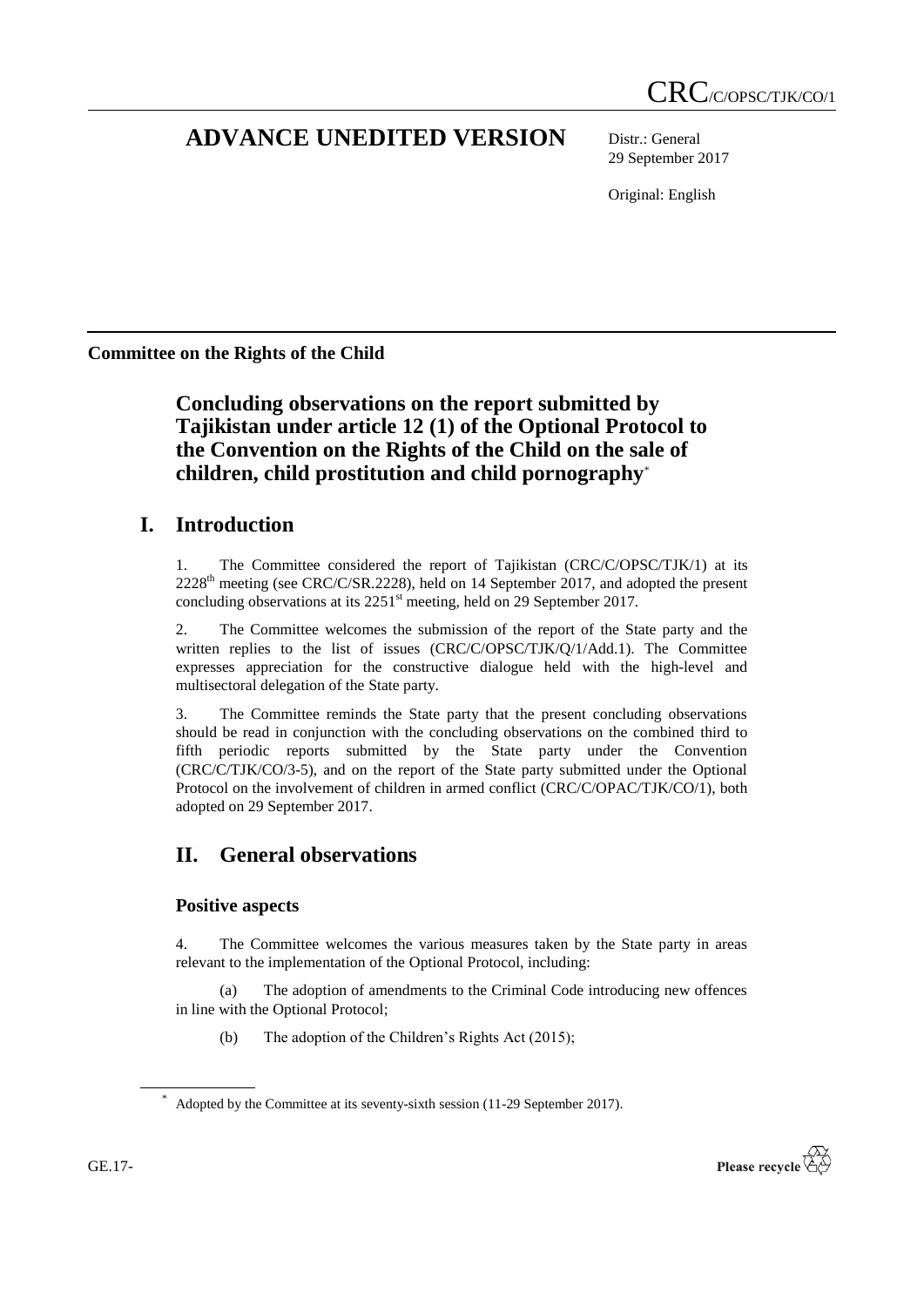# **ADVANCE UNEDITED VERSION** Distr.: General

29 September 2017

Original: English

**Committee on the Rights of the Child**

**Concluding observations on the report submitted by Tajikistan under article 12 (1) of the Optional Protocol to the Convention on the Rights of the Child on the sale of children, child prostitution and child pornography**\*

## **I. Introduction**

1. The Committee considered the report of Tajikistan (CRC/C/OPSC/TJK/1) at its 2228<sup>th</sup> meeting (see CRC/C/SR.2228), held on 14 September 2017, and adopted the present concluding observations at its 2251<sup>st</sup> meeting, held on 29 September 2017.

2. The Committee welcomes the submission of the report of the State party and the written replies to the list of issues (CRC/C/OPSC/TJK/Q/1/Add.1). The Committee expresses appreciation for the constructive dialogue held with the high-level and multisectoral delegation of the State party.

3. The Committee reminds the State party that the present concluding observations should be read in conjunction with the concluding observations on the combined third to fifth periodic reports submitted by the State party under the Convention (CRC/C/TJK/CO/3-5), and on the report of the State party submitted under the Optional Protocol on the involvement of children in armed conflict (CRC/C/OPAC/TJK/CO/1), both adopted on 29 September 2017.

## **II. General observations**

### **Positive aspects**

4. The Committee welcomes the various measures taken by the State party in areas relevant to the implementation of the Optional Protocol, including:

(a) The adoption of amendments to the Criminal Code introducing new offences in line with the Optional Protocol;

(b) The adoption of the Children's Rights Act (2015);



Adopted by the Committee at its seventy-sixth session (11-29 September 2017).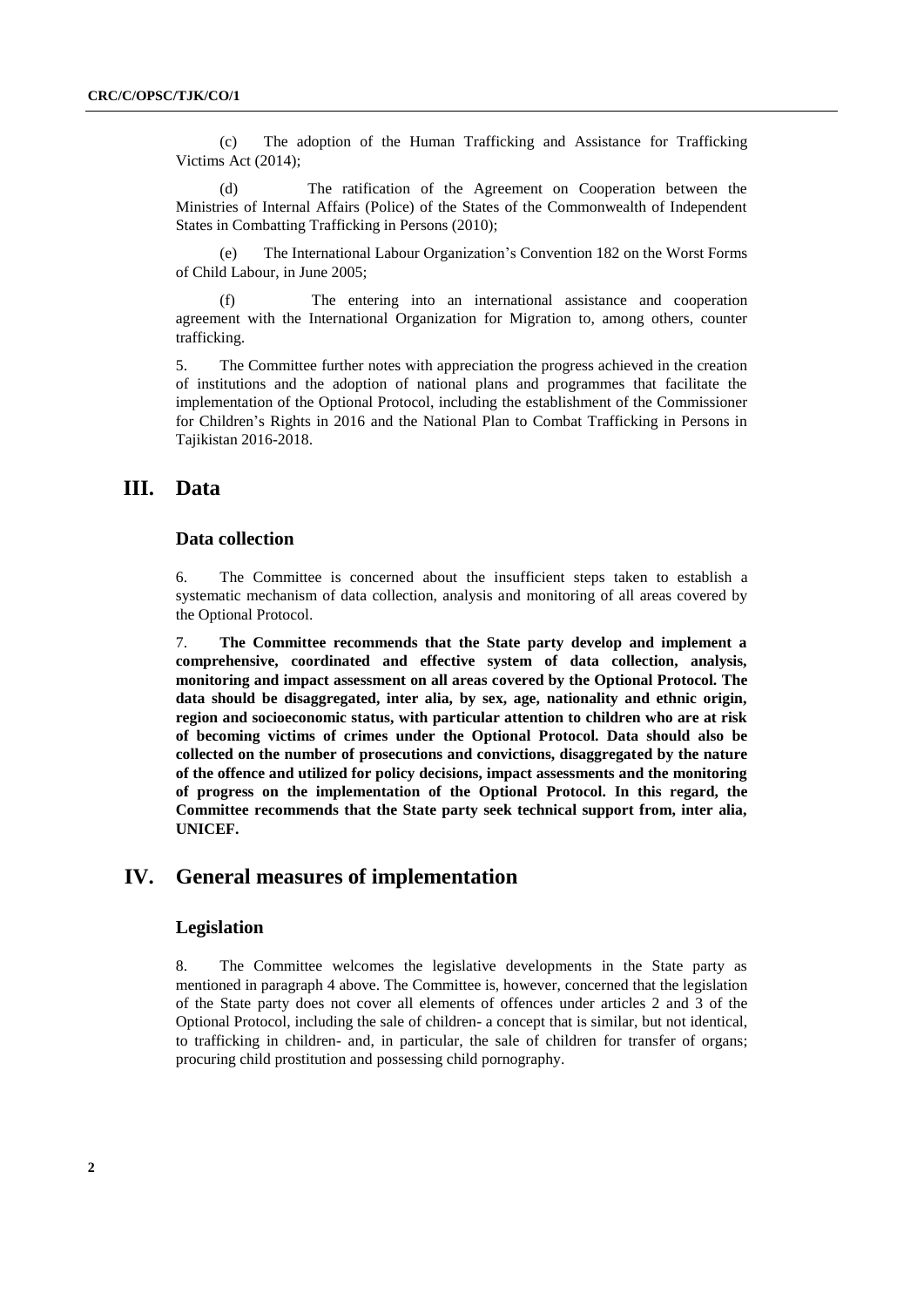(c) The adoption of the Human Trafficking and Assistance for Trafficking Victims Act (2014);

(d) The ratification of the Agreement on Cooperation between the Ministries of Internal Affairs (Police) of the States of the Commonwealth of Independent States in Combatting Trafficking in Persons (2010);

(e) The International Labour Organization's Convention 182 on the Worst Forms of Child Labour, in June 2005;

(f) The entering into an international assistance and cooperation agreement with the International Organization for Migration to, among others, counter trafficking.

5. The Committee further notes with appreciation the progress achieved in the creation of institutions and the adoption of national plans and programmes that facilitate the implementation of the Optional Protocol, including the establishment of the Commissioner for Children's Rights in 2016 and the National Plan to Combat Trafficking in Persons in Tajikistan 2016-2018.

## **III. Data**

#### **Data collection**

6. The Committee is concerned about the insufficient steps taken to establish a systematic mechanism of data collection, analysis and monitoring of all areas covered by the Optional Protocol.

7. **The Committee recommends that the State party develop and implement a comprehensive, coordinated and effective system of data collection, analysis, monitoring and impact assessment on all areas covered by the Optional Protocol. The data should be disaggregated, inter alia, by sex, age, nationality and ethnic origin, region and socioeconomic status, with particular attention to children who are at risk of becoming victims of crimes under the Optional Protocol. Data should also be collected on the number of prosecutions and convictions, disaggregated by the nature of the offence and utilized for policy decisions, impact assessments and the monitoring of progress on the implementation of the Optional Protocol. In this regard, the Committee recommends that the State party seek technical support from, inter alia, UNICEF.**

## **IV. General measures of implementation**

#### **Legislation**

8. The Committee welcomes the legislative developments in the State party as mentioned in paragraph 4 above. The Committee is, however, concerned that the legislation of the State party does not cover all elements of offences under articles 2 and 3 of the Optional Protocol, including the sale of children- a concept that is similar, but not identical, to trafficking in children- and, in particular, the sale of children for transfer of organs; procuring child prostitution and possessing child pornography.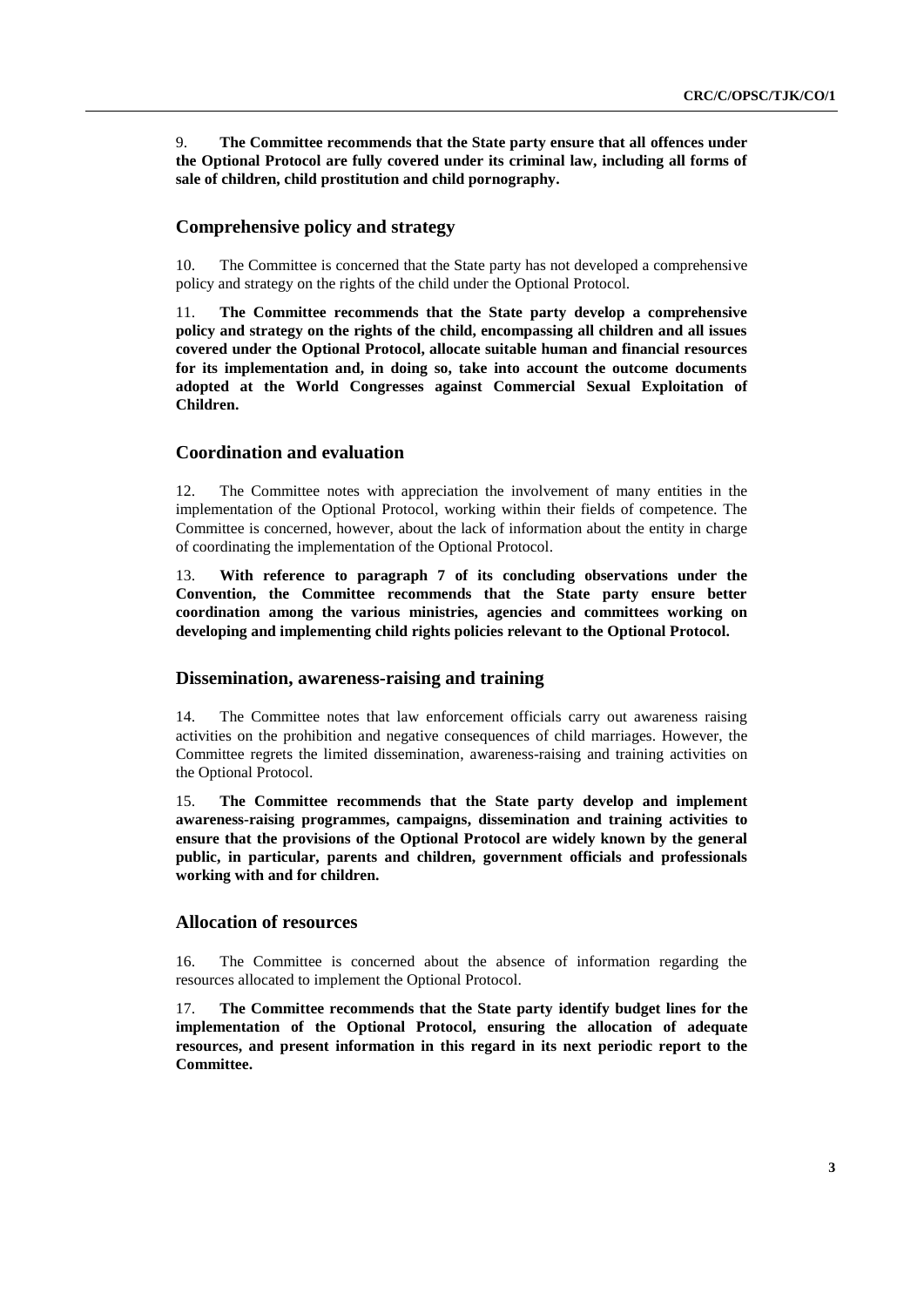9. **The Committee recommends that the State party ensure that all offences under the Optional Protocol are fully covered under its criminal law, including all forms of sale of children, child prostitution and child pornography.** 

#### **Comprehensive policy and strategy**

10. The Committee is concerned that the State party has not developed a comprehensive policy and strategy on the rights of the child under the Optional Protocol.

11. **The Committee recommends that the State party develop a comprehensive policy and strategy on the rights of the child, encompassing all children and all issues covered under the Optional Protocol, allocate suitable human and financial resources for its implementation and, in doing so, take into account the outcome documents adopted at the World Congresses against Commercial Sexual Exploitation of Children.**

#### **Coordination and evaluation**

12. The Committee notes with appreciation the involvement of many entities in the implementation of the Optional Protocol, working within their fields of competence. The Committee is concerned, however, about the lack of information about the entity in charge of coordinating the implementation of the Optional Protocol.

13. **With reference to paragraph 7 of its concluding observations under the Convention, the Committee recommends that the State party ensure better coordination among the various ministries, agencies and committees working on developing and implementing child rights policies relevant to the Optional Protocol.**

#### **Dissemination, awareness-raising and training**

14. The Committee notes that law enforcement officials carry out awareness raising activities on the prohibition and negative consequences of child marriages. However, the Committee regrets the limited dissemination, awareness-raising and training activities on the Optional Protocol.

15. **The Committee recommends that the State party develop and implement awareness-raising programmes, campaigns, dissemination and training activities to ensure that the provisions of the Optional Protocol are widely known by the general public, in particular, parents and children, government officials and professionals working with and for children.**

#### **Allocation of resources**

16. The Committee is concerned about the absence of information regarding the resources allocated to implement the Optional Protocol.

17. **The Committee recommends that the State party identify budget lines for the implementation of the Optional Protocol, ensuring the allocation of adequate resources, and present information in this regard in its next periodic report to the Committee.**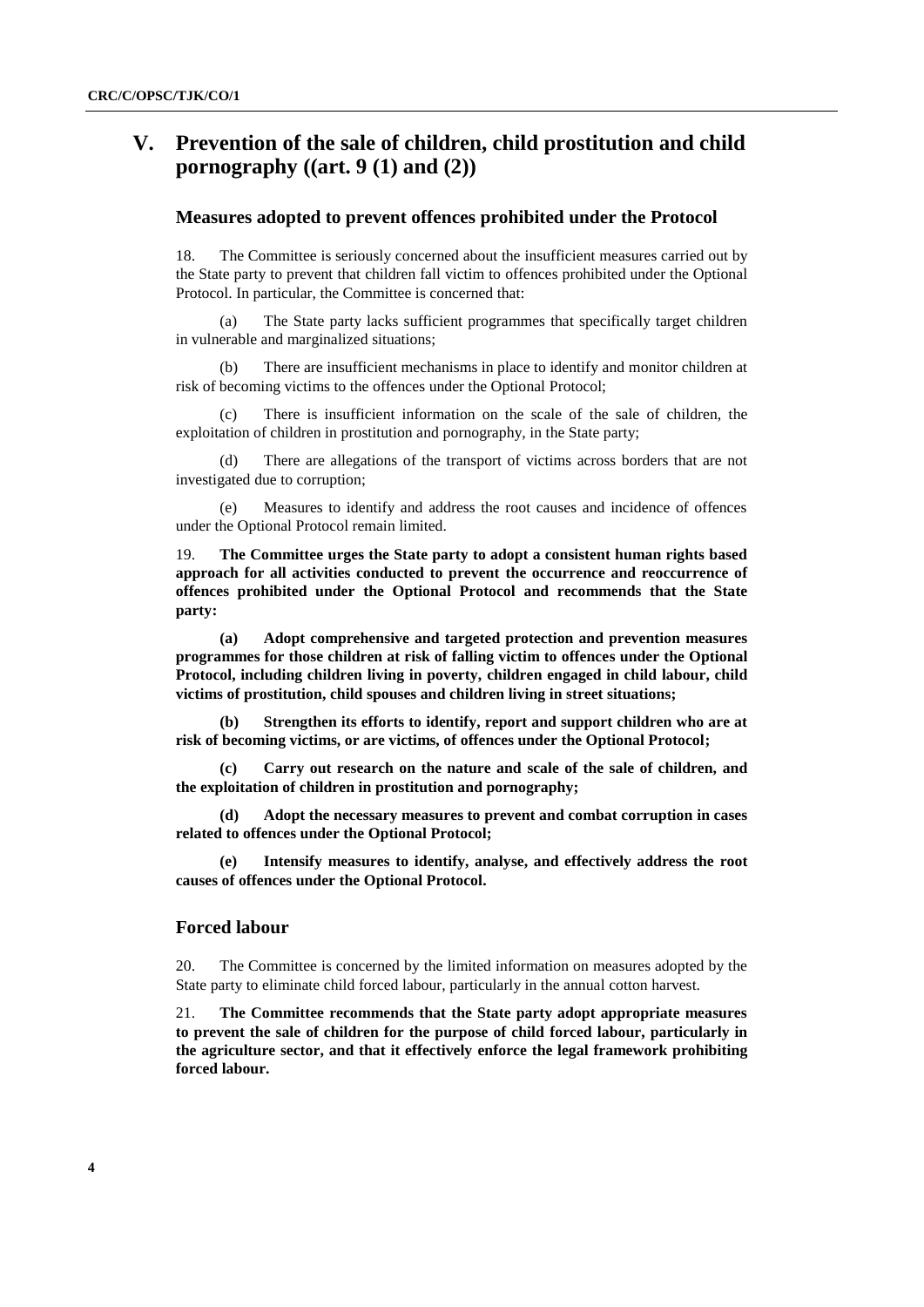## **V. Prevention of the sale of children, child prostitution and child pornography ((art. 9 (1) and (2))**

#### **Measures adopted to prevent offences prohibited under the Protocol**

18. The Committee is seriously concerned about the insufficient measures carried out by the State party to prevent that children fall victim to offences prohibited under the Optional Protocol. In particular, the Committee is concerned that:

(a) The State party lacks sufficient programmes that specifically target children in vulnerable and marginalized situations;

(b) There are insufficient mechanisms in place to identify and monitor children at risk of becoming victims to the offences under the Optional Protocol;

There is insufficient information on the scale of the sale of children, the exploitation of children in prostitution and pornography, in the State party;

(d) There are allegations of the transport of victims across borders that are not investigated due to corruption;

(e) Measures to identify and address the root causes and incidence of offences under the Optional Protocol remain limited.

19. **The Committee urges the State party to adopt a consistent human rights based approach for all activities conducted to prevent the occurrence and reoccurrence of offences prohibited under the Optional Protocol and recommends that the State party:** 

**(a) Adopt comprehensive and targeted protection and prevention measures programmes for those children at risk of falling victim to offences under the Optional Protocol, including children living in poverty, children engaged in child labour, child victims of prostitution, child spouses and children living in street situations;**

**(b) Strengthen its efforts to identify, report and support children who are at risk of becoming victims, or are victims, of offences under the Optional Protocol;** 

**(c) Carry out research on the nature and scale of the sale of children, and the exploitation of children in prostitution and pornography;** 

**(d) Adopt the necessary measures to prevent and combat corruption in cases related to offences under the Optional Protocol;** 

**(e) Intensify measures to identify, analyse, and effectively address the root causes of offences under the Optional Protocol.** 

#### **Forced labour**

20. The Committee is concerned by the limited information on measures adopted by the State party to eliminate child forced labour, particularly in the annual cotton harvest.

21. **The Committee recommends that the State party adopt appropriate measures to prevent the sale of children for the purpose of child forced labour, particularly in the agriculture sector, and that it effectively enforce the legal framework prohibiting forced labour.**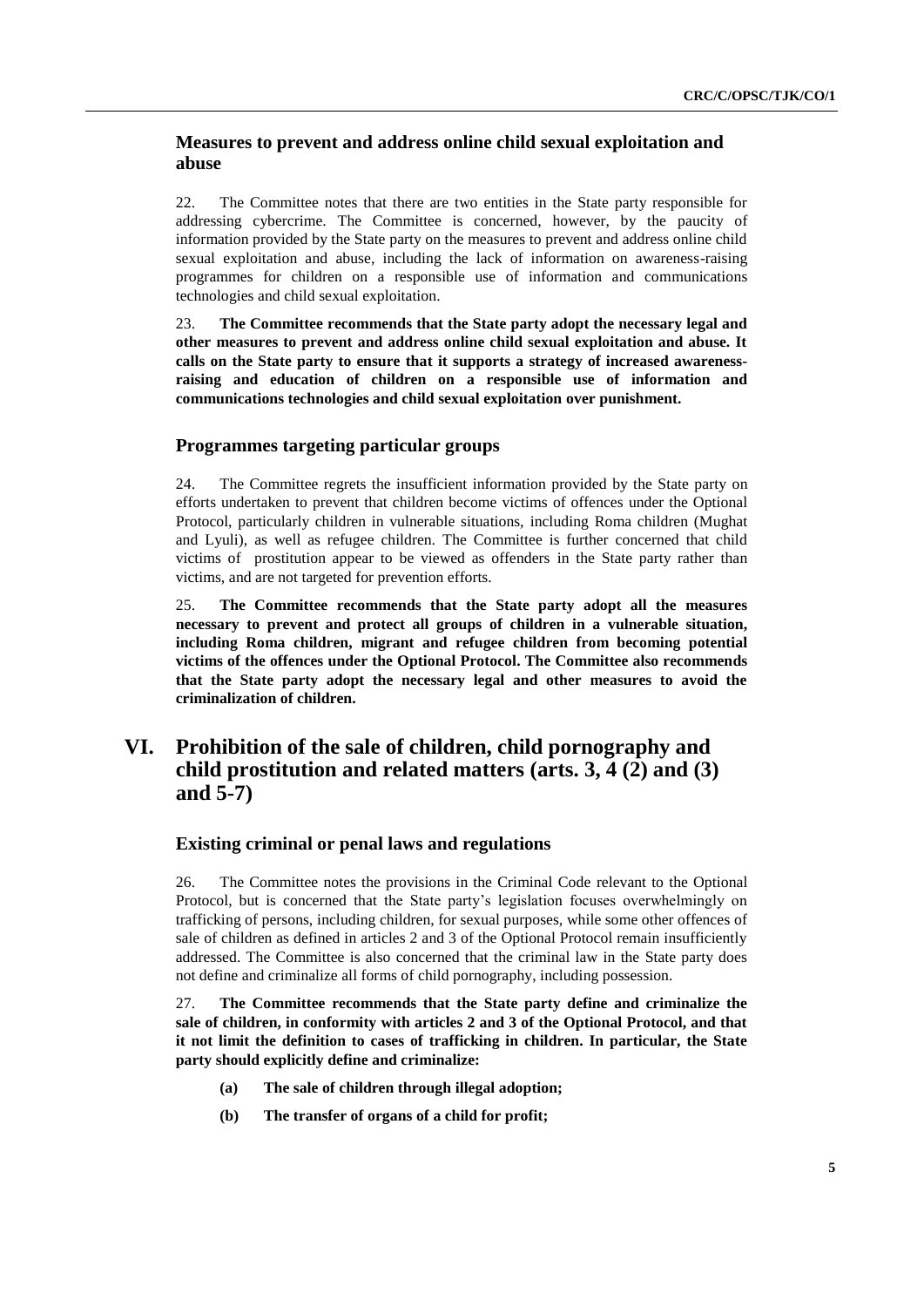### **Measures to prevent and address online child sexual exploitation and abuse**

22. The Committee notes that there are two entities in the State party responsible for addressing cybercrime. The Committee is concerned, however, by the paucity of information provided by the State party on the measures to prevent and address online child sexual exploitation and abuse, including the lack of information on awareness-raising programmes for children on a responsible use of information and communications technologies and child sexual exploitation.

23. **The Committee recommends that the State party adopt the necessary legal and other measures to prevent and address online child sexual exploitation and abuse. It calls on the State party to ensure that it supports a strategy of increased awarenessraising and education of children on a responsible use of information and communications technologies and child sexual exploitation over punishment.**

#### **Programmes targeting particular groups**

24. The Committee regrets the insufficient information provided by the State party on efforts undertaken to prevent that children become victims of offences under the Optional Protocol, particularly children in vulnerable situations, including Roma children (Mughat and Lyuli), as well as refugee children. The Committee is further concerned that child victims of prostitution appear to be viewed as offenders in the State party rather than victims, and are not targeted for prevention efforts.

25. **The Committee recommends that the State party adopt all the measures necessary to prevent and protect all groups of children in a vulnerable situation, including Roma children, migrant and refugee children from becoming potential victims of the offences under the Optional Protocol. The Committee also recommends that the State party adopt the necessary legal and other measures to avoid the criminalization of children.** 

## **VI. Prohibition of the sale of children, child pornography and child prostitution and related matters (arts. 3, 4 (2) and (3) and 5-7)**

#### **Existing criminal or penal laws and regulations**

26. The Committee notes the provisions in the Criminal Code relevant to the Optional Protocol, but is concerned that the State party's legislation focuses overwhelmingly on trafficking of persons, including children, for sexual purposes, while some other offences of sale of children as defined in articles 2 and 3 of the Optional Protocol remain insufficiently addressed. The Committee is also concerned that the criminal law in the State party does not define and criminalize all forms of child pornography, including possession.

27. **The Committee recommends that the State party define and criminalize the sale of children, in conformity with articles 2 and 3 of the Optional Protocol, and that it not limit the definition to cases of trafficking in children. In particular, the State party should explicitly define and criminalize:**

- **(a) The sale of children through illegal adoption;**
- **(b) The transfer of organs of a child for profit;**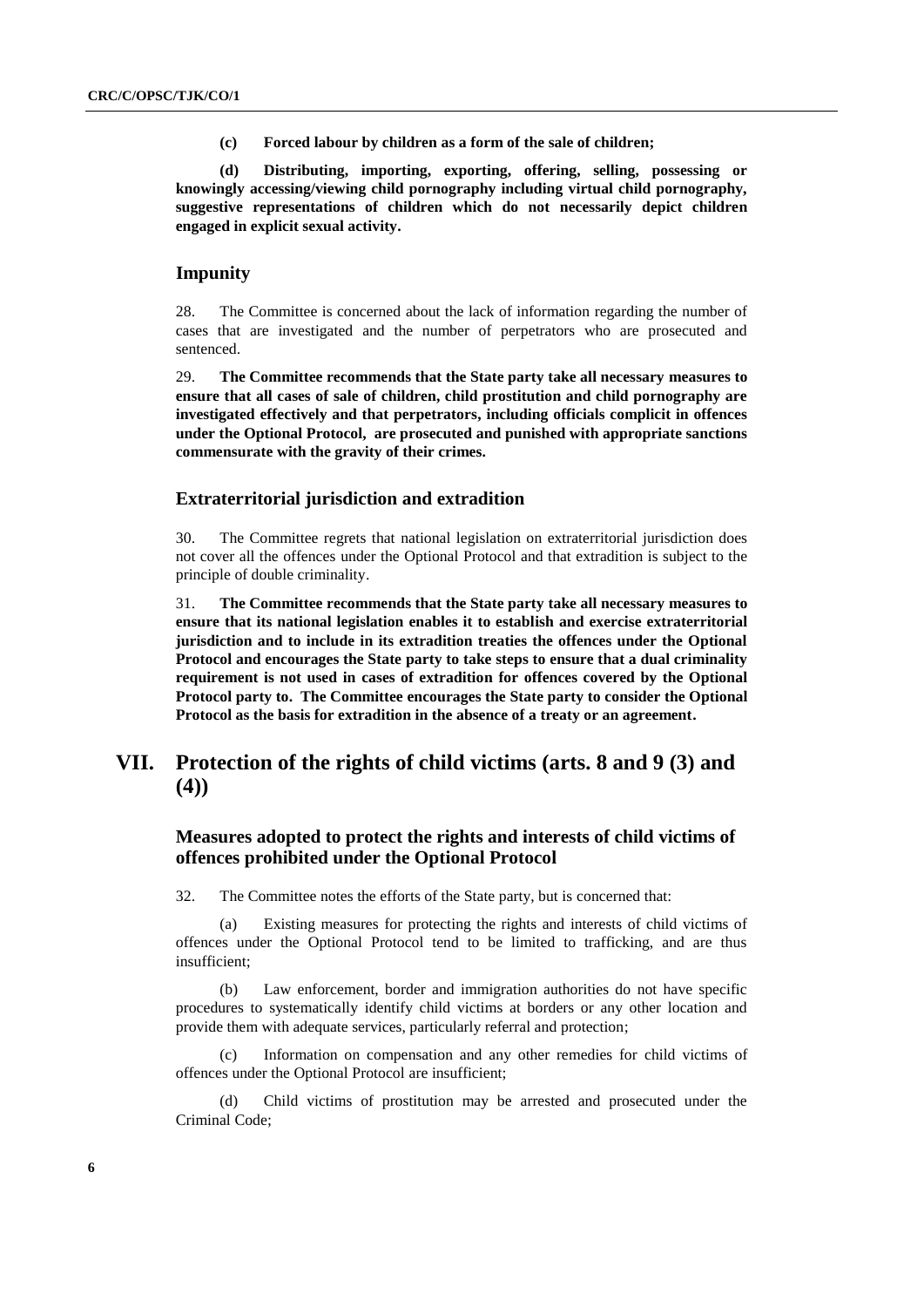**(c) Forced labour by children as a form of the sale of children;**

**(d) Distributing, importing, exporting, offering, selling, possessing or knowingly accessing/viewing child pornography including virtual child pornography, suggestive representations of children which do not necessarily depict children engaged in explicit sexual activity.** 

#### **Impunity**

28. The Committee is concerned about the lack of information regarding the number of cases that are investigated and the number of perpetrators who are prosecuted and sentenced.

29. **The Committee recommends that the State party take all necessary measures to ensure that all cases of sale of children, child prostitution and child pornography are investigated effectively and that perpetrators, including officials complicit in offences under the Optional Protocol, are prosecuted and punished with appropriate sanctions commensurate with the gravity of their crimes.** 

#### **Extraterritorial jurisdiction and extradition**

30. The Committee regrets that national legislation on extraterritorial jurisdiction does not cover all the offences under the Optional Protocol and that extradition is subject to the principle of double criminality.

31. **The Committee recommends that the State party take all necessary measures to ensure that its national legislation enables it to establish and exercise extraterritorial jurisdiction and to include in its extradition treaties the offences under the Optional Protocol and encourages the State party to take steps to ensure that a dual criminality requirement is not used in cases of extradition for offences covered by the Optional Protocol party to. The Committee encourages the State party to consider the Optional Protocol as the basis for extradition in the absence of a treaty or an agreement.** 

## **VII. Protection of the rights of child victims (arts. 8 and 9 (3) and (4))**

### **Measures adopted to protect the rights and interests of child victims of offences prohibited under the Optional Protocol**

32. The Committee notes the efforts of the State party, but is concerned that:

(a) Existing measures for protecting the rights and interests of child victims of offences under the Optional Protocol tend to be limited to trafficking, and are thus insufficient;

(b) Law enforcement, border and immigration authorities do not have specific procedures to systematically identify child victims at borders or any other location and provide them with adequate services, particularly referral and protection;

(c) Information on compensation and any other remedies for child victims of offences under the Optional Protocol are insufficient;

(d) Child victims of prostitution may be arrested and prosecuted under the Criminal Code;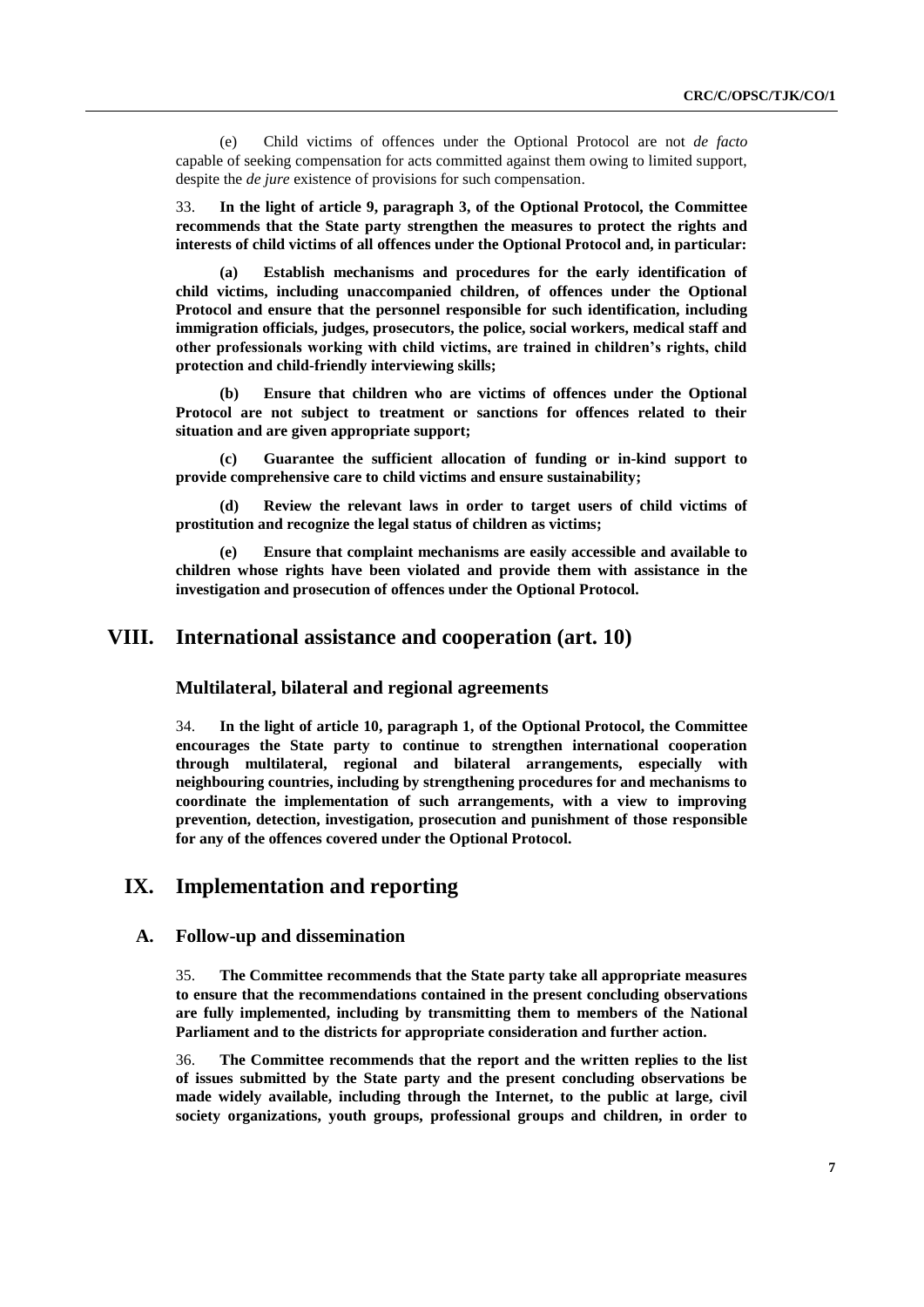(e) Child victims of offences under the Optional Protocol are not *de facto* capable of seeking compensation for acts committed against them owing to limited support, despite the *de jure* existence of provisions for such compensation.

33. **In the light of article 9, paragraph 3, of the Optional Protocol, the Committee recommends that the State party strengthen the measures to protect the rights and interests of child victims of all offences under the Optional Protocol and, in particular:** 

**(a) Establish mechanisms and procedures for the early identification of child victims, including unaccompanied children, of offences under the Optional Protocol and ensure that the personnel responsible for such identification, including immigration officials, judges, prosecutors, the police, social workers, medical staff and other professionals working with child victims, are trained in children's rights, child protection and child-friendly interviewing skills;**

**(b) Ensure that children who are victims of offences under the Optional Protocol are not subject to treatment or sanctions for offences related to their situation and are given appropriate support;**

**(c) Guarantee the sufficient allocation of funding or in-kind support to provide comprehensive care to child victims and ensure sustainability;** 

**(d) Review the relevant laws in order to target users of child victims of prostitution and recognize the legal status of children as victims;**

**(e) Ensure that complaint mechanisms are easily accessible and available to children whose rights have been violated and provide them with assistance in the investigation and prosecution of offences under the Optional Protocol.** 

### **VIII. International assistance and cooperation (art. 10)**

**Multilateral, bilateral and regional agreements**

34. **In the light of article 10, paragraph 1, of the Optional Protocol, the Committee encourages the State party to continue to strengthen international cooperation through multilateral, regional and bilateral arrangements, especially with neighbouring countries, including by strengthening procedures for and mechanisms to coordinate the implementation of such arrangements, with a view to improving prevention, detection, investigation, prosecution and punishment of those responsible for any of the offences covered under the Optional Protocol.**

### **IX. Implementation and reporting**

#### **A. Follow-up and dissemination**

35. **The Committee recommends that the State party take all appropriate measures to ensure that the recommendations contained in the present concluding observations are fully implemented, including by transmitting them to members of the National Parliament and to the districts for appropriate consideration and further action.**

36. **The Committee recommends that the report and the written replies to the list of issues submitted by the State party and the present concluding observations be made widely available, including through the Internet, to the public at large, civil society organizations, youth groups, professional groups and children, in order to**